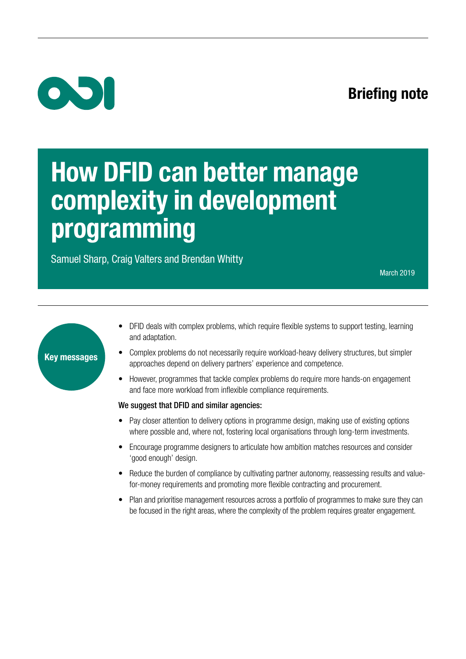## Briefing note



# How DFID can better manage complexity in development programming

Samuel Sharp, Craig Valters and Brendan Whitty

March 2019



- DFID deals with complex problems, which require flexible systems to support testing, learning and adaptation.
- Complex problems do not necessarily require workload-heavy delivery structures, but simpler approaches depend on delivery partners' experience and competence.
- However, programmes that tackle complex problems do require more hands-on engagement and face more workload from inflexible compliance requirements.

#### We suggest that DFID and similar agencies:

- Pay closer attention to delivery options in programme design, making use of existing options where possible and, where not, fostering local organisations through long-term investments.
- Encourage programme designers to articulate how ambition matches resources and consider 'good enough' design.
- Reduce the burden of compliance by cultivating partner autonomy, reassessing results and valuefor-money requirements and promoting more flexible contracting and procurement.
- Plan and prioritise management resources across a portfolio of programmes to make sure they can be focused in the right areas, where the complexity of the problem requires greater engagement.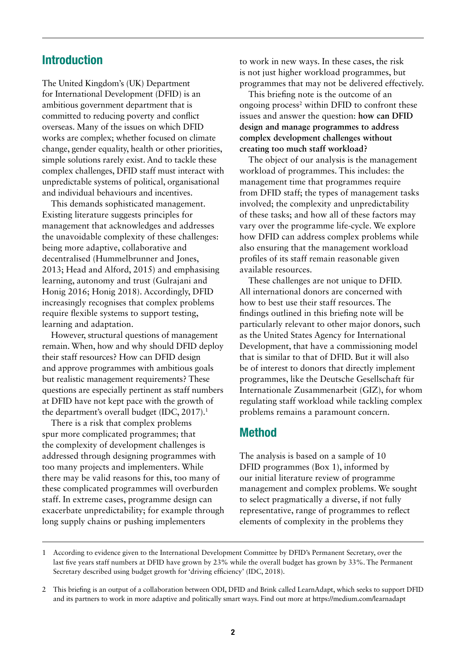#### Introduction

The United Kingdom's (UK) Department for International Development (DFID) is an ambitious government department that is committed to reducing poverty and conflict overseas. Many of the issues on which DFID works are complex; whether focused on climate change, gender equality, health or other priorities, simple solutions rarely exist. And to tackle these complex challenges, DFID staff must interact with unpredictable systems of political, organisational and individual behaviours and incentives.

This demands sophisticated management. Existing literature suggests principles for management that acknowledges and addresses the unavoidable complexity of these challenges: being more adaptive, collaborative and decentralised (Hummelbrunner and Jones, 2013; Head and Alford, 2015) and emphasising learning, autonomy and trust (Gulrajani and Honig 2016; Honig 2018). Accordingly, DFID increasingly recognises that complex problems require flexible systems to support testing, learning and adaptation.

However, structural questions of management remain. When, how and why should DFID deploy their staff resources? How can DFID design and approve programmes with ambitious goals but realistic management requirements? These questions are especially pertinent as staff numbers at DFID have not kept pace with the growth of the department's overall budget (IDC, 2017).<sup>1</sup>

There is a risk that complex problems spur more complicated programmes; that the complexity of development challenges is addressed through designing programmes with too many projects and implementers. While there may be valid reasons for this, too many of these complicated programmes will overburden staff. In extreme cases, programme design can exacerbate unpredictability; for example through long supply chains or pushing implementers

to work in new ways. In these cases, the risk is not just higher workload programmes, but programmes that may not be delivered effectively.

This briefing note is the outcome of an ongoing process<sup>2</sup> within DFID to confront these issues and answer the question: **how can DFID design and manage programmes to address complex development challenges without creating too much staff workload?** 

The object of our analysis is the management workload of programmes. This includes: the management time that programmes require from DFID staff; the types of management tasks involved; the complexity and unpredictability of these tasks; and how all of these factors may vary over the programme life-cycle. We explore how DFID can address complex problems while also ensuring that the management workload profiles of its staff remain reasonable given available resources.

These challenges are not unique to DFID. All international donors are concerned with how to best use their staff resources. The findings outlined in this briefing note will be particularly relevant to other major donors, such as the United States Agency for International Development, that have a commissioning model that is similar to that of DFID. But it will also be of interest to donors that directly implement programmes, like the Deutsche Gesellschaft für Internationale Zusammenarbeit (GIZ), for whom regulating staff workload while tackling complex problems remains a paramount concern.

### Method

The analysis is based on a sample of 10 DFID programmes (Box 1), informed by our initial literature review of programme management and complex problems. We sought to select pragmatically a diverse, if not fully representative, range of programmes to reflect elements of complexity in the problems they

<sup>1</sup> According to evidence given to the International Development Committee by DFID's Permanent Secretary, over the last five years staff numbers at DFID have grown by 23% while the overall budget has grown by 33%. The Permanent Secretary described using budget growth for 'driving efficiency' (IDC, 2018).

<sup>2</sup> This briefing is an output of a collaboration between ODI, DFID and Brink called LearnAdapt, which seeks to support DFID and its partners to work in more adaptive and politically smart ways. Find out more at<https://medium.com/learnadapt>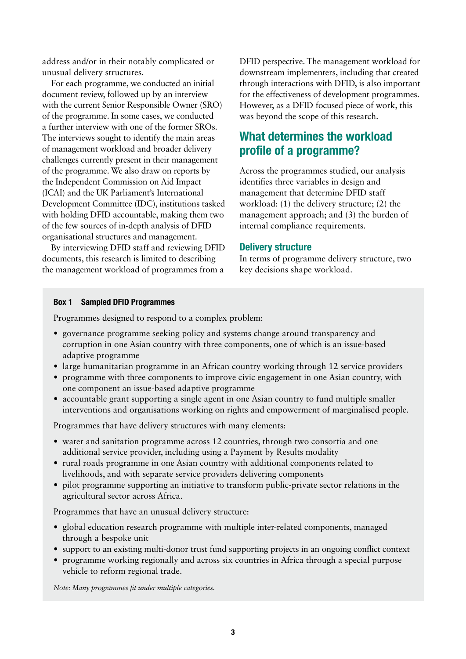address and/or in their notably complicated or unusual delivery structures.

For each programme, we conducted an initial document review, followed up by an interview with the current Senior Responsible Owner (SRO) of the programme. In some cases, we conducted a further interview with one of the former SROs. The interviews sought to identify the main areas of management workload and broader delivery challenges currently present in their management of the programme. We also draw on reports by the Independent Commission on Aid Impact (ICAI) and the UK Parliament's International Development Committee (IDC), institutions tasked with holding DFID accountable, making them two of the few sources of in-depth analysis of DFID organisational structures and management.

By interviewing DFID staff and reviewing DFID documents, this research is limited to describing the management workload of programmes from a DFID perspective. The management workload for downstream implementers, including that created through interactions with DFID, is also important for the effectiveness of development programmes. However, as a DFID focused piece of work, this was beyond the scope of this research.

## What determines the workload profile of a programme?

Across the programmes studied, our analysis identifies three variables in design and management that determine DFID staff workload: (1) the delivery structure; (2) the management approach; and (3) the burden of internal compliance requirements.

#### Delivery structure

In terms of programme delivery structure, two key decisions shape workload.

#### Box 1 Sampled DFID Programmes

Programmes designed to respond to a complex problem:

- **•** governance programme seeking policy and systems change around transparency and corruption in one Asian country with three components, one of which is an issue-based adaptive programme
- large humanitarian programme in an African country working through 12 service providers
- **•** programme with three components to improve civic engagement in one Asian country, with one component an issue-based adaptive programme
- **•** accountable grant supporting a single agent in one Asian country to fund multiple smaller interventions and organisations working on rights and empowerment of marginalised people.

Programmes that have delivery structures with many elements:

- **•** water and sanitation programme across 12 countries, through two consortia and one additional service provider, including using a Payment by Results modality
- **•** rural roads programme in one Asian country with additional components related to livelihoods, and with separate service providers delivering components
- **•** pilot programme supporting an initiative to transform public-private sector relations in the agricultural sector across Africa.

Programmes that have an unusual delivery structure:

- **•** global education research programme with multiple inter-related components, managed through a bespoke unit
- support to an existing multi-donor trust fund supporting projects in an ongoing conflict context
- **•** programme working regionally and across six countries in Africa through a special purpose vehicle to reform regional trade.

*Note: Many programmes fit under multiple categories.*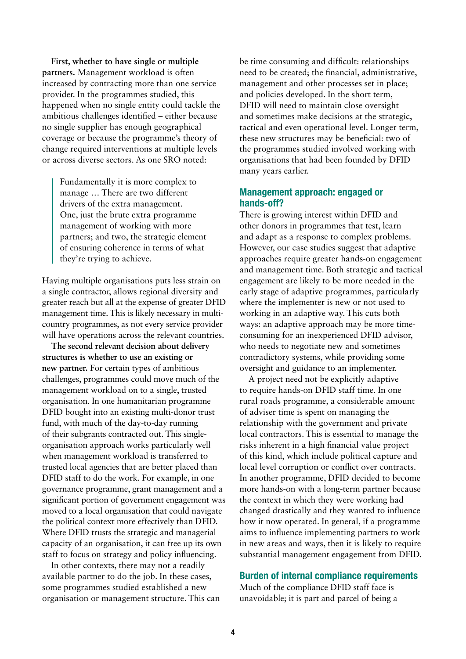**First, whether to have single or multiple partners.** Management workload is often increased by contracting more than one service provider. In the programmes studied, this happened when no single entity could tackle the ambitious challenges identified – either because no single supplier has enough geographical coverage or because the programme's theory of change required interventions at multiple levels or across diverse sectors. As one SRO noted:

Fundamentally it is more complex to manage … There are two different drivers of the extra management. One, just the brute extra programme management of working with more partners; and two, the strategic element of ensuring coherence in terms of what they're trying to achieve.

Having multiple organisations puts less strain on a single contractor, allows regional diversity and greater reach but all at the expense of greater DFID management time. This is likely necessary in multicountry programmes, as not every service provider will have operations across the relevant countries.

**The second relevant decision about delivery structures is whether to use an existing or new partner.** For certain types of ambitious challenges, programmes could move much of the management workload on to a single, trusted organisation. In one humanitarian programme DFID bought into an existing multi-donor trust fund, with much of the day-to-day running of their subgrants contracted out. This singleorganisation approach works particularly well when management workload is transferred to trusted local agencies that are better placed than DFID staff to do the work. For example, in one governance programme, grant management and a significant portion of government engagement was moved to a local organisation that could navigate the political context more effectively than DFID. Where DFID trusts the strategic and managerial capacity of an organisation, it can free up its own staff to focus on strategy and policy influencing.

In other contexts, there may not a readily available partner to do the job. In these cases, some programmes studied established a new organisation or management structure. This can be time consuming and difficult: relationships need to be created; the financial, administrative, management and other processes set in place; and policies developed. In the short term, DFID will need to maintain close oversight and sometimes make decisions at the strategic, tactical and even operational level. Longer term, these new structures may be beneficial: two of the programmes studied involved working with organisations that had been founded by DFID many years earlier.

#### Management approach: engaged or hands-off?

There is growing interest within DFID and other donors in programmes that test, learn and adapt as a response to complex problems. However, our case studies suggest that adaptive approaches require greater hands-on engagement and management time. Both strategic and tactical engagement are likely to be more needed in the early stage of adaptive programmes, particularly where the implementer is new or not used to working in an adaptive way. This cuts both ways: an adaptive approach may be more timeconsuming for an inexperienced DFID advisor, who needs to negotiate new and sometimes contradictory systems, while providing some oversight and guidance to an implementer.

A project need not be explicitly adaptive to require hands-on DFID staff time. In one rural roads programme, a considerable amount of adviser time is spent on managing the relationship with the government and private local contractors. This is essential to manage the risks inherent in a high financial value project of this kind, which include political capture and local level corruption or conflict over contracts. In another programme, DFID decided to become more hands-on with a long-term partner because the context in which they were working had changed drastically and they wanted to influence how it now operated. In general, if a programme aims to influence implementing partners to work in new areas and ways, then it is likely to require substantial management engagement from DFID.

#### Burden of internal compliance requirements

Much of the compliance DFID staff face is unavoidable; it is part and parcel of being a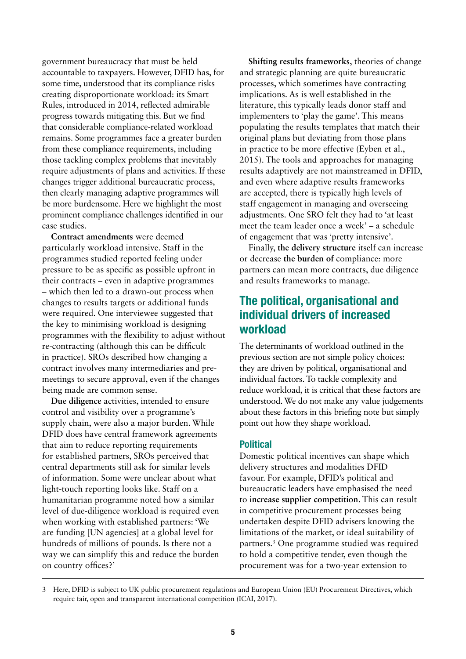government bureaucracy that must be held accountable to taxpayers. However, DFID has, for some time, understood that its compliance risks creating disproportionate workload: its Smart Rules, introduced in 2014, reflected admirable progress towards mitigating this. But we find that considerable compliance-related workload remains. Some programmes face a greater burden from these compliance requirements, including those tackling complex problems that inevitably require adjustments of plans and activities. If these changes trigger additional bureaucratic process, then clearly managing adaptive programmes will be more burdensome. Here we highlight the most prominent compliance challenges identified in our case studies.

**Contract amendments** were deemed particularly workload intensive. Staff in the programmes studied reported feeling under pressure to be as specific as possible upfront in their contracts – even in adaptive programmes – which then led to a drawn-out process when changes to results targets or additional funds were required. One interviewee suggested that the key to minimising workload is designing programmes with the flexibility to adjust without re-contracting (although this can be difficult in practice). SROs described how changing a contract involves many intermediaries and premeetings to secure approval, even if the changes being made are common sense.

**Due diligence** activities, intended to ensure control and visibility over a programme's supply chain, were also a major burden. While DFID does have central framework agreements that aim to reduce reporting requirements for established partners, SROs perceived that central departments still ask for similar levels of information. Some were unclear about what light-touch reporting looks like. Staff on a humanitarian programme noted how a similar level of due-diligence workload is required even when working with established partners: 'We are funding [UN agencies] at a global level for hundreds of millions of pounds. Is there not a way we can simplify this and reduce the burden on country offices?'

**Shifting results frameworks**, theories of change and strategic planning are quite bureaucratic processes, which sometimes have contracting implications. As is well established in the literature, this typically leads donor staff and implementers to 'play the game'. This means populating the results templates that match their original plans but deviating from those plans in practice to be more effective (Eyben et al., 2015). The tools and approaches for managing results adaptively are not mainstreamed in DFID, and even where adaptive results frameworks are accepted, there is typically high levels of staff engagement in managing and overseeing adjustments. One SRO felt they had to 'at least meet the team leader once a week' – a schedule of engagement that was 'pretty intensive'.

Finally, **the delivery structure** itself can increase or decrease **the burden of** compliance: more partners can mean more contracts, due diligence and results frameworks to manage.

### The political, organisational and individual drivers of increased workload

The determinants of workload outlined in the previous section are not simple policy choices: they are driven by political, organisational and individual factors. To tackle complexity and reduce workload, it is critical that these factors are understood. We do not make any value judgements about these factors in this briefing note but simply point out how they shape workload.

#### Political

Domestic political incentives can shape which delivery structures and modalities DFID favour. For example, DFID's political and bureaucratic leaders have emphasised the need to **increase supplier competition**. This can result in competitive procurement processes being undertaken despite DFID advisers knowing the limitations of the market, or ideal suitability of partners.3 One programme studied was required to hold a competitive tender, even though the procurement was for a two-year extension to

<sup>3</sup> Here, DFID is subject to UK public procurement regulations and European Union (EU) Procurement Directives, which require fair, open and transparent international competition (ICAI, 2017).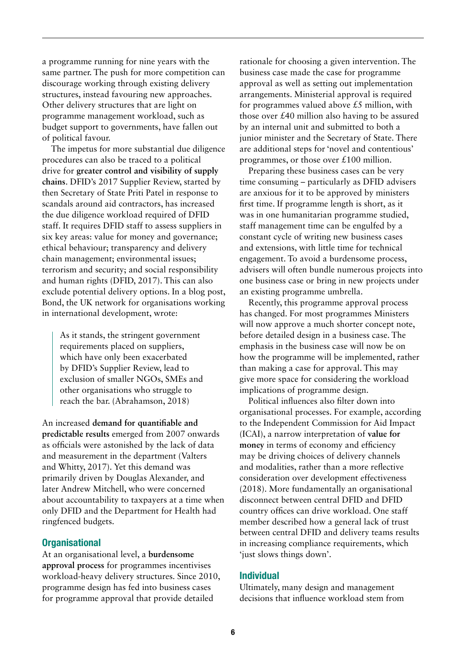a programme running for nine years with the same partner. The push for more competition can discourage working through existing delivery structures, instead favouring new approaches. Other delivery structures that are light on programme management workload, such as budget support to governments, have fallen out of political favour.

The impetus for more substantial due diligence procedures can also be traced to a political drive for **greater control and visibility of supply chains**. DFID's 2017 Supplier Review, started by then Secretary of State Priti Patel in response to scandals around aid contractors, has increased the due diligence workload required of DFID staff. It requires DFID staff to assess suppliers in six key areas: value for money and governance; ethical behaviour; transparency and delivery chain management; environmental issues; terrorism and security; and social responsibility and human rights (DFID, 2017). This can also exclude potential delivery options. In a blog post, Bond, the UK network for organisations working in international development, wrote:

As it stands, the stringent government requirements placed on suppliers, which have only been exacerbated by DFID's Supplier Review, lead to exclusion of smaller NGOs, SMEs and other organisations who struggle to reach the bar. (Abrahamson, 2018)

An increased **demand for quantifiable and predictable results** emerged from 2007 onwards as officials were astonished by the lack of data and measurement in the department (Valters and Whitty, 2017). Yet this demand was primarily driven by Douglas Alexander, and later Andrew Mitchell, who were concerned about accountability to taxpayers at a time when only DFID and the Department for Health had ringfenced budgets.

#### **Organisational**

At an organisational level, a **burdensome approval process** for programmes incentivises workload-heavy delivery structures*.* Since 2010, programme design has fed into business cases for programme approval that provide detailed

rationale for choosing a given intervention. The business case made the case for programme approval as well as setting out implementation arrangements. Ministerial approval is required for programmes valued above  $\pounds$ 5 million, with those over £40 million also having to be assured by an internal unit and submitted to both a junior minister and the Secretary of State. There are additional steps for 'novel and contentious' programmes, or those over £100 million.

Preparing these business cases can be very time consuming – particularly as DFID advisers are anxious for it to be approved by ministers first time. If programme length is short, as it was in one humanitarian programme studied, staff management time can be engulfed by a constant cycle of writing new business cases and extensions, with little time for technical engagement. To avoid a burdensome process, advisers will often bundle numerous projects into one business case or bring in new projects under an existing programme umbrella.

Recently, this programme approval process has changed. For most programmes Ministers will now approve a much shorter concept note, before detailed design in a business case. The emphasis in the business case will now be on how the programme will be implemented, rather than making a case for approval. This may give more space for considering the workload implications of programme design.

Political influences also filter down into organisational processes. For example, according to the Independent Commission for Aid Impact (ICAI), a narrow interpretation of **value for money** in terms of economy and efficiency may be driving choices of delivery channels and modalities, rather than a more reflective consideration over development effectiveness (2018). More fundamentally an organisational disconnect between central DFID and DFID country offices can drive workload. One staff member described how a general lack of trust between central DFID and delivery teams results in increasing compliance requirements, which 'just slows things down'.

#### Individual

Ultimately, many design and management decisions that influence workload stem from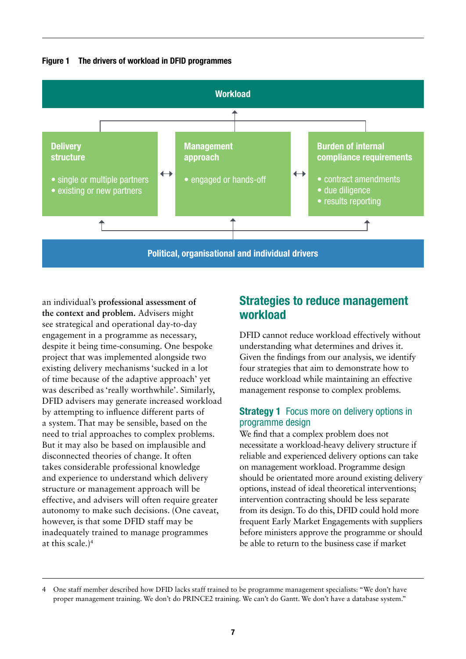



an individual's **professional assessment of the context and problem.** Advisers might see strategical and operational day-to-day engagement in a programme as necessary, despite it being time-consuming. One bespoke project that was implemented alongside two existing delivery mechanisms 'sucked in a lot of time because of the adaptive approach' yet was described as 'really worthwhile'. Similarly, DFID advisers may generate increased workload by attempting to influence different parts of a system. That may be sensible, based on the need to trial approaches to complex problems. But it may also be based on implausible and disconnected theories of change. It often takes considerable professional knowledge and experience to understand which delivery structure or management approach will be effective, and advisers will often require greater autonomy to make such decisions. (One caveat, however, is that some DFID staff may be inadequately trained to manage programmes at this scale.)4

### Strategies to reduce management workload

DFID cannot reduce workload effectively without understanding what determines and drives it. Given the findings from our analysis, we identify four strategies that aim to demonstrate how to reduce workload while maintaining an effective management response to complex problems.

#### **Strategy 1** Focus more on delivery options in programme design

We find that a complex problem does not necessitate a workload-heavy delivery structure if reliable and experienced delivery options can take on management workload. Programme design should be orientated more around existing delivery options, instead of ideal theoretical interventions; intervention contracting should be less separate from its design. To do this, DFID could hold more frequent Early Market Engagements with suppliers before ministers approve the programme or should be able to return to the business case if market

<sup>4</sup> One staff member described how DFID lacks staff trained to be programme management specialists: "We don't have proper management training. We don't do PRINCE2 training. We can't do Gantt. We don't have a database system."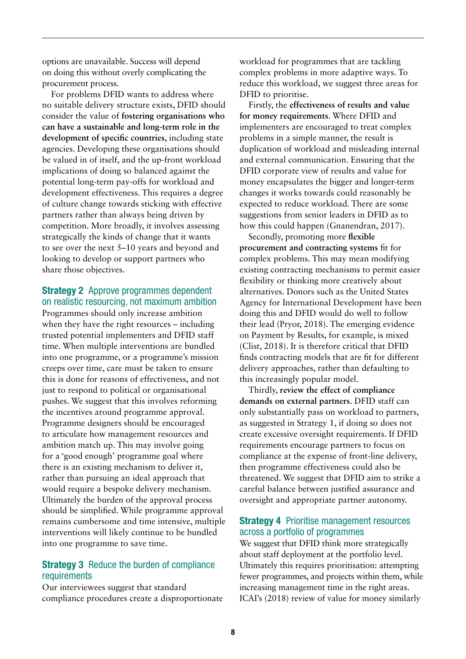options are unavailable. Success will depend on doing this without overly complicating the procurement process.

For problems DFID wants to address where no suitable delivery structure exists, DFID should consider the value of **fostering organisations who can have a sustainable and long-term role in the development of specific countries**, including state agencies. Developing these organisations should be valued in of itself, and the up-front workload implications of doing so balanced against the potential long-term pay-offs for workload and development effectiveness. This requires a degree of culture change towards sticking with effective partners rather than always being driven by competition. More broadly, it involves assessing strategically the kinds of change that it wants to see over the next 5–10 years and beyond and looking to develop or support partners who share those objectives.

#### Strategy 2 Approve programmes dependent on realistic resourcing, not maximum ambition

Programmes should only increase ambition when they have the right resources – including trusted potential implementers and DFID staff time. When multiple interventions are bundled into one programme, or a programme's mission creeps over time, care must be taken to ensure this is done for reasons of effectiveness, and not just to respond to political or organisational pushes. We suggest that this involves reforming the incentives around programme approval. Programme designers should be encouraged to articulate how management resources and ambition match up. This may involve going for a 'good enough' programme goal where there is an existing mechanism to deliver it, rather than pursuing an ideal approach that would require a bespoke delivery mechanism. Ultimately the burden of the approval process should be simplified. While programme approval remains cumbersome and time intensive, multiple interventions will likely continue to be bundled into one programme to save time.

#### **Strategy 3** Reduce the burden of compliance requirements

Our interviewees suggest that standard compliance procedures create a disproportionate workload for programmes that are tackling complex problems in more adaptive ways. To reduce this workload, we suggest three areas for DFID to prioritise.

Firstly, the **effectiveness of results and value for money requirements**. Where DFID and implementers are encouraged to treat complex problems in a simple manner, the result is duplication of workload and misleading internal and external communication. Ensuring that the DFID corporate view of results and value for money encapsulates the bigger and longer-term changes it works towards could reasonably be expected to reduce workload. There are some suggestions from senior leaders in DFID as to how this could happen (Gnanendran, 2017).

Secondly, promoting more **flexible procurement and contracting systems** fit for complex problems. This may mean modifying existing contracting mechanisms to permit easier flexibility or thinking more creatively about alternatives. Donors such as the United States Agency for International Development have been doing this and DFID would do well to follow their lead (Pryor, 2018). The emerging evidence on Payment by Results, for example, is mixed (Clist, 2018). It is therefore critical that DFID finds contracting models that are fit for different delivery approaches, rather than defaulting to this increasingly popular model.

Thirdly, **review the effect of compliance demands on external partners**. DFID staff can only substantially pass on workload to partners, as suggested in Strategy 1, if doing so does not create excessive oversight requirements. If DFID requirements encourage partners to focus on compliance at the expense of front-line delivery, then programme effectiveness could also be threatened. We suggest that DFID aim to strike a careful balance between justified assurance and oversight and appropriate partner autonomy.

#### Strategy 4 Prioritise management resources across a portfolio of programmes

We suggest that DFID think more strategically about staff deployment at the portfolio level. Ultimately this requires prioritisation: attempting fewer programmes, and projects within them, while increasing management time in the right areas. ICAI's (2018) review of value for money similarly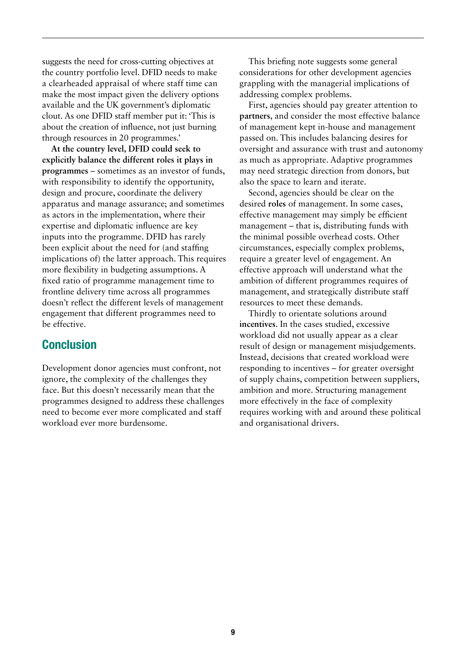suggests the need for cross-cutting objectives at the country portfolio level. DFID needs to make a clearheaded appraisal of where staff time can make the most impact given the delivery options available and the UK government's diplomatic clout. As one DFID staff member put it: 'This is about the creation of influence, not just burning through resources in 20 programmes.'

**At the country level, DFID could seek to explicitly balance the different roles it plays in programmes** – sometimes as an investor of funds, with responsibility to identify the opportunity, design and procure, coordinate the delivery apparatus and manage assurance; and sometimes as actors in the implementation, where their expertise and diplomatic influence are key inputs into the programme. DFID has rarely been explicit about the need for (and staffing implications of) the latter approach. This requires more flexibility in budgeting assumptions. A fixed ratio of programme management time to frontline delivery time across all programmes doesn't reflect the different levels of management engagement that different programmes need to be effective.

### **Conclusion**

Development donor agencies must confront, not ignore, the complexity of the challenges they face. But this doesn't necessarily mean that the programmes designed to address these challenges need to become ever more complicated and staff workload ever more burdensome.

This briefing note suggests some general considerations for other development agencies grappling with the managerial implications of addressing complex problems.

First, agencies should pay greater attention to **partners**, and consider the most effective balance of management kept in-house and management passed on. This includes balancing desires for oversight and assurance with trust and autonomy as much as appropriate. Adaptive programmes may need strategic direction from donors, but also the space to learn and iterate.

Second, agencies should be clear on the desired **roles** of management. In some cases, effective management may simply be efficient management – that is, distributing funds with the minimal possible overhead costs. Other circumstances, especially complex problems, require a greater level of engagement. An effective approach will understand what the ambition of different programmes requires of management, and strategically distribute staff resources to meet these demands.

Thirdly to orientate solutions around **incentives**. In the cases studied, excessive workload did not usually appear as a clear result of design or management misjudgements. Instead, decisions that created workload were responding to incentives – for greater oversight of supply chains, competition between suppliers, ambition and more. Structuring management more effectively in the face of complexity requires working with and around these political and organisational drivers.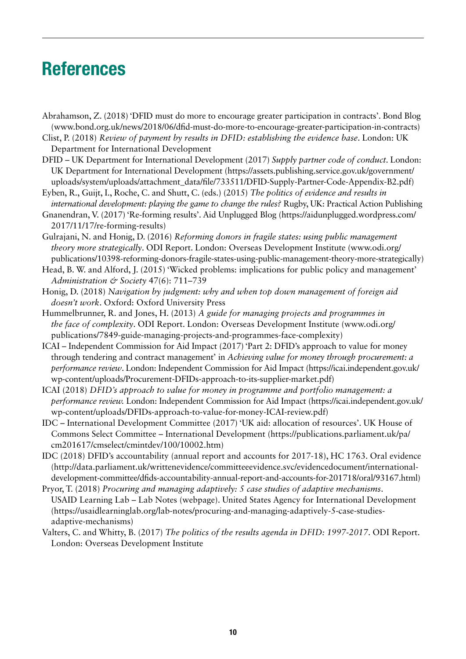## References

- Abrahamson, Z. (2018) 'DFID must do more to encourage greater participation in contracts'. Bond Blog [\(www.bond.org.uk/news/2018/06/dfid-must-do-more-to-encourage-greater-participation-in-contracts](https://www.bond.org.uk/news/2018/06/dfid-must-do-more-to-encourage-greater-participation-in-contracts))
- Clist, P. (2018) *Review of payment by results in DFID: establishing the evidence base*. London: UK Department for International Development
- DFID UK Department for International Development (2017) *Supply partner code of conduct*. London: UK Department for International Development ([https://assets.publishing.service.gov.uk/government/](https://assets.publishing.service.gov.uk/government/uploads/system/uploads/attachment_data/file/733511/DFID-Supply-Partner-Code-Appendix-B2.pdf) [uploads/system/uploads/attachment\\_data/file/733511/DFID-Supply-Partner-Code-Appendix-B2.pdf](https://assets.publishing.service.gov.uk/government/uploads/system/uploads/attachment_data/file/733511/DFID-Supply-Partner-Code-Appendix-B2.pdf))
- Eyben, R., Guijt, I., Roche, C. and Shutt, C. (eds.) (2015) *The politics of evidence and results in international development: playing the game to change the rules?* Rugby, UK: Practical Action Publishing
- Gnanendran, V. (2017) 'Re-forming results'. Aid Unplugged Blog ([https://aidunplugged.wordpress.com/](https://aidunplugged.wordpress.com/2017/11/17/re-forming-results)) [2017/11/17/re-forming-results\)](https://aidunplugged.wordpress.com/2017/11/17/re-forming-results))
- Gulrajani, N. and Honig, D. (2016) *Reforming donors in fragile states: using public management theory more strategically*. ODI Report. London: Overseas Development Institute [\(www.odi.org/](http://www.odi.org/publications/10398-reforming-donors-fragile-states-using-public-management-theory-more-strategically) [publications/10398-reforming-donors-fragile-states-using-public-management-theory-more-strategically\)](http://www.odi.org/publications/10398-reforming-donors-fragile-states-using-public-management-theory-more-strategically)
- Head, B. W. and Alford, J. (2015) 'Wicked problems: implications for public policy and management' *Administration & Society* 47(6): 711–739
- Honig, D. (2018) *Navigation by judgment: why and when top down management of foreign aid doesn't work*. Oxford: Oxford University Press
- Hummelbrunner, R. and Jones, H. (2013) *A guide for managing projects and programmes in the face of complexity*. ODI Report. London: Overseas Development Institute [\(www.odi.org/](http://www.odi.org/publications/7849-guide-managing-projects-and-programmes-face-complexity) [publications/7849-guide-managing-projects-and-programmes-face-complexity](http://www.odi.org/publications/7849-guide-managing-projects-and-programmes-face-complexity))
- ICAI Independent Commission for Aid Impact (2017) 'Part 2: DFID's approach to value for money through tendering and contract management' in *Achieving value for money through procurement: a performance review*. London: Independent Commission for Aid Impact [\(https://icai.independent.gov.uk/](https://icai.independent.gov.uk/wp-content/uploads/Procurement-DFIDs-approach-to-its-supplier-market.pdf) [wp-content/uploads/Procurement-DFIDs-approach-to-its-supplier-market.pdf\)](https://icai.independent.gov.uk/wp-content/uploads/Procurement-DFIDs-approach-to-its-supplier-market.pdf)
- ICAI (2018) *DFID's approach to value for money in programme and portfolio management: a performance review.* London: Independent Commission for Aid Impact ([https://icai.independent.gov.uk/](https://icai.independent.gov.uk/wp-content/uploads/DFIDs-approach-to-value-for-money-ICAI-review.pdf) [wp-content/uploads/DFIDs-approach-to-value-for-money-ICAI-review.pdf](https://icai.independent.gov.uk/wp-content/uploads/DFIDs-approach-to-value-for-money-ICAI-review.pdf))
- IDC International Development Committee (2017) 'UK aid: allocation of resources'. UK House of Commons Select Committee – International Development ([https://publications.parliament.uk/pa/](https://publications.parliament.uk/pa/cm201617/cmselect/cmintdev/100/10002.htm) [cm201617/cmselect/cmintdev/100/10002.htm](https://publications.parliament.uk/pa/cm201617/cmselect/cmintdev/100/10002.htm))
- IDC (2018) DFID's accountability (annual report and accounts for 2017-18), HC 1763. Oral evidence [\(http://data.parliament.uk/writtenevidence/committeeevidence.svc/evidencedocument/international](http://data.parliament.uk/writtenevidence/committeeevidence.svc/evidencedocument/international-development-committee/dfids-accountability-annual-report-and-accounts-for-201718/oral/93167.html)[development-committee/dfids-accountability-annual-report-and-accounts-for-201718/oral/93167.html\)](http://data.parliament.uk/writtenevidence/committeeevidence.svc/evidencedocument/international-development-committee/dfids-accountability-annual-report-and-accounts-for-201718/oral/93167.html)
- Pryor, T. (2018) *Procuring and managing adaptively: 5 case studies of adaptive mechanisms*. USAID Learning Lab – Lab Notes (webpage). United States Agency for International Development [\(https://usaidlearninglab.org/lab-notes/procuring-and-managing-adaptively-5-case-studies](https://usaidlearninglab.org/lab-notes/procuring-and-managing-adaptively-5-case-studies-adaptive-mechanisms)[adaptive-mechanisms\)](https://usaidlearninglab.org/lab-notes/procuring-and-managing-adaptively-5-case-studies-adaptive-mechanisms)
- Valters, C. and Whitty, B. (2017) *The politics of the results agenda in DFID: 1997-2017*. ODI Report. London: Overseas Development Institute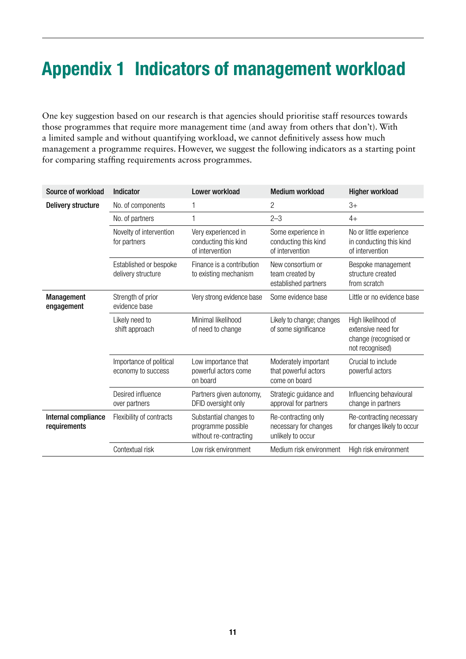## Appendix 1 Indicators of management workload

One key suggestion based on our research is that agencies should prioritise staff resources towards those programmes that require more management time (and away from others that don't). With a limited sample and without quantifying workload, we cannot definitively assess how much management a programme requires. However, we suggest the following indicators as a starting point for comparing staffing requirements across programmes.

| Source of workload                  | Indicator                                     | Lower workload                                                         | <b>Medium workload</b>                                            | <b>Higher workload</b>                                                               |
|-------------------------------------|-----------------------------------------------|------------------------------------------------------------------------|-------------------------------------------------------------------|--------------------------------------------------------------------------------------|
| <b>Delivery structure</b>           | No. of components                             | 1                                                                      | 2                                                                 | $3+$                                                                                 |
|                                     | No. of partners                               | 1                                                                      | $2 - 3$                                                           | $4+$                                                                                 |
|                                     | Novelty of intervention<br>for partners       | Very experienced in<br>conducting this kind<br>of intervention         | Some experience in<br>conducting this kind<br>of intervention     | No or little experience<br>in conducting this kind<br>of intervention                |
|                                     | Established or bespoke<br>delivery structure  | Finance is a contribution<br>to existing mechanism                     | New consortium or<br>team created by<br>established partners      | Bespoke management<br>structure created<br>from scratch                              |
| <b>Management</b><br>engagement     | Strength of prior<br>evidence base            | Very strong evidence base                                              | Some evidence base                                                | Little or no evidence base                                                           |
|                                     | Likely need to<br>shift approach              | Minimal likelihood<br>of need to change                                | Likely to change; changes<br>of some significance                 | High likelihood of<br>extensive need for<br>change (recognised or<br>not recognised) |
|                                     | Importance of political<br>economy to success | Low importance that<br>powerful actors come<br>on board                | Moderately important<br>that powerful actors<br>come on board     | Crucial to include<br>powerful actors                                                |
|                                     | Desired influence<br>over partners            | Partners given autonomy,<br>DFID oversight only                        | Strategic guidance and<br>approval for partners                   | Influencing behavioural<br>change in partners                                        |
| Internal compliance<br>requirements | Flexibility of contracts                      | Substantial changes to<br>programme possible<br>without re-contracting | Re-contracting only<br>necessary for changes<br>unlikely to occur | Re-contracting necessary<br>for changes likely to occur                              |
|                                     | Contextual risk                               | Low risk environment                                                   | Medium risk environment                                           | High risk environment                                                                |